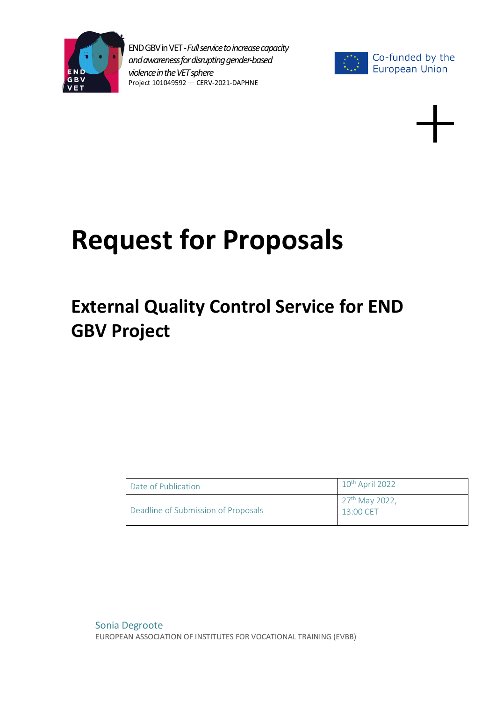



# **Request for Proposals**

## **External Quality Control Service for END GBV Project**

| Date of Publication                 | $10^{th}$ April 2022                    |
|-------------------------------------|-----------------------------------------|
| Deadline of Submission of Proposals | 27 <sup>th</sup> May 2022,<br>13:00 CET |

Sonia Degroote EUROPEAN ASSOCIATION OF INSTITUTES FOR VOCATIONAL TRAINING (EVBB)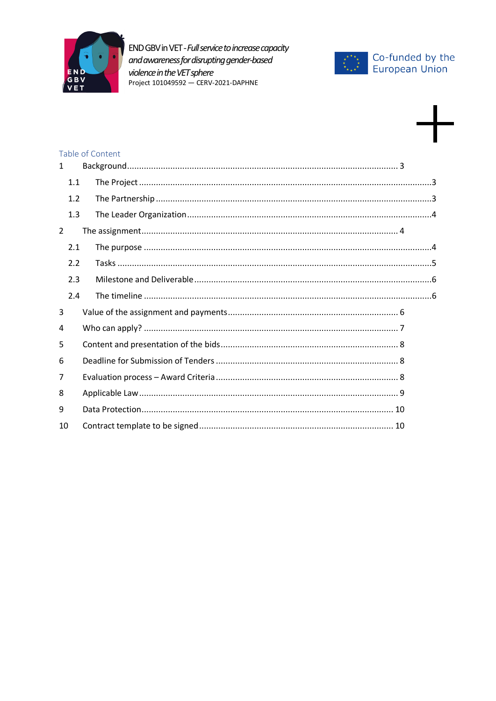



### Table of Content

| $\mathbf{1}$   |     |  |
|----------------|-----|--|
|                | 1.1 |  |
|                | 1.2 |  |
|                | 1.3 |  |
| $\overline{2}$ |     |  |
|                | 2.1 |  |
|                | 2.2 |  |
|                | 2.3 |  |
|                | 2.4 |  |
| 3              |     |  |
| 4              |     |  |
| 5              |     |  |
| 6              |     |  |
| $\overline{7}$ |     |  |
| 8              |     |  |
| 9              |     |  |
| 10             |     |  |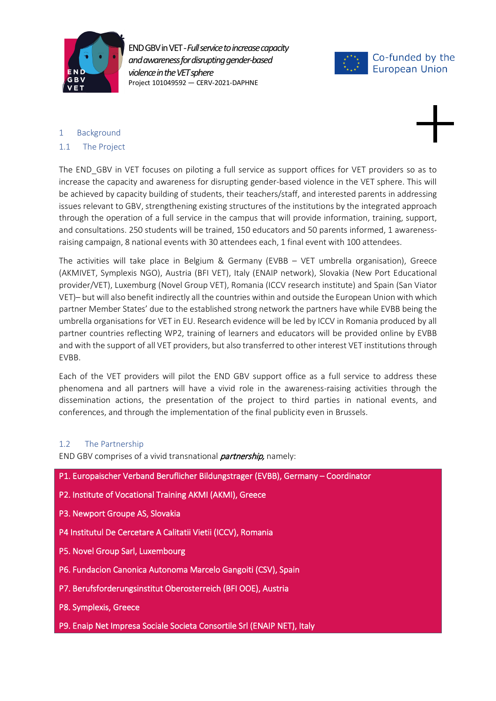



#### <span id="page-2-0"></span>1 Background

#### <span id="page-2-1"></span>1.1 The Project

The END GBV in VET focuses on piloting a full service as support offices for VET providers so as to increase the capacity and awareness for disrupting gender-based violence in the VET sphere. This will be achieved by capacity building of students, their teachers/staff, and interested parents in addressing issues relevant to GBV, strengthening existing structures of the institutions by the integrated approach through the operation of a full service in the campus that will provide information, training, support, and consultations. 250 students will be trained, 150 educators and 50 parents informed, 1 awarenessraising campaign, 8 national events with 30 attendees each, 1 final event with 100 attendees.

The activities will take place in Belgium & Germany (EVBB – VET umbrella organisation), Greece (AKMIVET, Symplexis NGO), Austria (BFI VET), Italy (ENAIP network), Slovakia (New Port Educational provider/VET), Luxemburg (Novel Group VET), Romania (ICCV research institute) and Spain (San Viator VET)– but will also benefit indirectly all the countries within and outside the European Union with which partner Member States' due to the established strong network the partners have while EVBB being the umbrella organisations for VET in EU. Research evidence will be led by ICCV in Romania produced by all partner countries reflecting WP2, training of learners and educators will be provided online by EVBB and with the support of all VET providers, but also transferred to other interest VET institutions through EVBB.

Each of the VET providers will pilot the END GBV support office as a full service to address these phenomena and all partners will have a vivid role in the awareness-raising activities through the dissemination actions, the presentation of the project to third parties in national events, and conferences, and through the implementation of the final publicity even in Brussels.

#### <span id="page-2-2"></span>1.2 The Partnership

END GBV comprises of a vivid transnational *partnership*, namely:

P1. Europaischer Verband Beruflicher Bildungstrager (EVBB), Germany – Coordinator

- P2. Institute of Vocational Training AKMI (AKMI), Greece
- P3. Newport Groupe AS, Slovakia
- P4 Institutul De Cercetare A Calitatii Vietii (ICCV), Romania
- P5. Novel Group Sarl, Luxembourg
- P6. Fundacion Canonica Autonoma Marcelo Gangoiti (CSV), Spain
- P7. Berufsforderungsinstitut Oberosterreich (BFI OOE), Austria
- P8. Symplexis, Greece
- P9. Enaip Net Impresa Sociale Societa Consortile Srl (ENAIP NET), Italy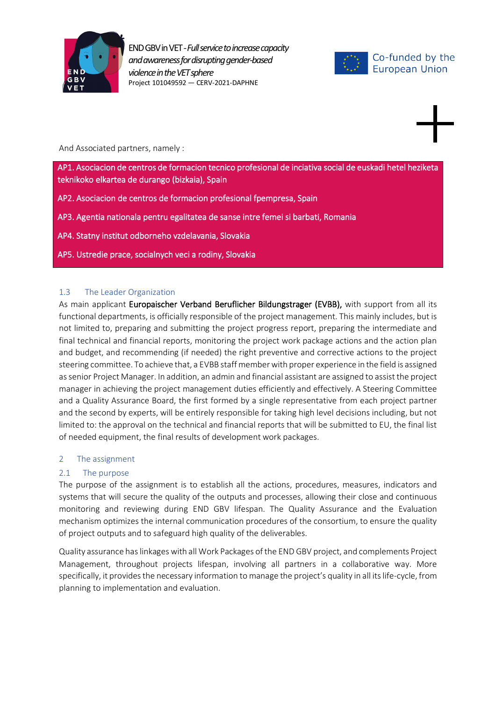



And Associated partners, namely :

AP1. Asociacion de centros de formacion tecnico profesional de inciativa social de euskadi hetel heziketa teknikoko elkartea de durango (bizkaia), Spain

AP2. Asociacion de centros de formacion profesional fpempresa, Spain

AP3. Agentia nationala pentru egalitatea de sanse intre femei si barbati, Romania

AP4. Statny institut odborneho vzdelavania, Slovakia

AP5. Ustredie prace, socialnych veci a rodiny, Slovakia

#### <span id="page-3-0"></span>1.3 The Leader Organization

As main applicant Europaischer Verband Beruflicher Bildungstrager (EVBB), with support from all its functional departments, is officially responsible of the project management. This mainly includes, but is not limited to, preparing and submitting the project progress report, preparing the intermediate and final technical and financial reports, monitoring the project work package actions and the action plan and budget, and recommending (if needed) the right preventive and corrective actions to the project steering committee. To achieve that, a EVBB staff member with proper experience in the field is assigned as senior Project Manager. In addition, an admin and financial assistant are assigned to assist the project manager in achieving the project management duties efficiently and effectively. A Steering Committee and a Quality Assurance Board, the first formed by a single representative from each project partner and the second by experts, will be entirely responsible for taking high level decisions including, but not limited to: the approval on the technical and financial reports that will be submitted to EU, the final list of needed equipment, the final results of development work packages.

#### <span id="page-3-1"></span>2 The assignment

#### <span id="page-3-2"></span>2.1 The purpose

The purpose of the assignment is to establish all the actions, procedures, measures, indicators and systems that will secure the quality of the outputs and processes, allowing their close and continuous monitoring and reviewing during END GBV lifespan. The Quality Assurance and the Evaluation mechanism optimizes the internal communication procedures of the consortium, to ensure the quality of project outputs and to safeguard high quality of the deliverables.

Quality assurance has linkages with all Work Packages of the END GBV project, and complements Project Management, throughout projects lifespan, involving all partners in a collaborative way. More specifically, it provides the necessary information to manage the project's quality in all its life-cycle, from planning to implementation and evaluation.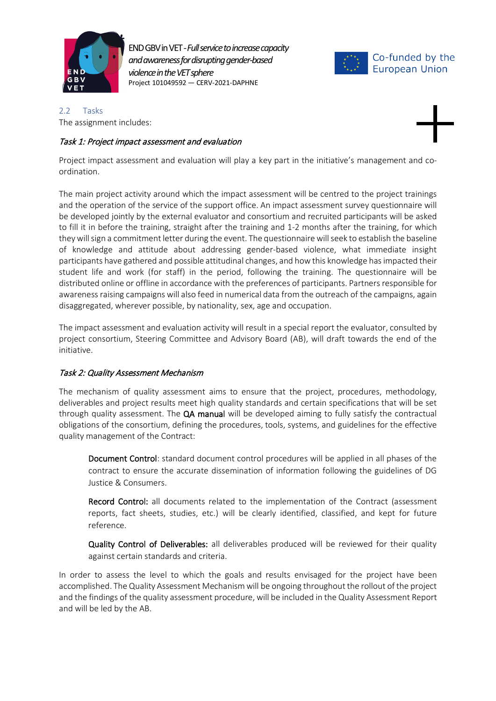



<span id="page-4-0"></span>2.2 Tasks The assignment includes:

#### Task 1: Project impact assessment and evaluation



Project impact assessment and evaluation will play a key part in the initiative's management and coordination.

The main project activity around which the impact assessment will be centred to the project trainings and the operation of the service of the support office. An impact assessment survey questionnaire will be developed jointly by the external evaluator and consortium and recruited participants will be asked to fill it in before the training, straight after the training and 1-2 months after the training, for which they will sign a commitment letter during the event. The questionnaire will seek to establish the baseline of knowledge and attitude about addressing gender-based violence, what immediate insight participants have gathered and possible attitudinal changes, and how this knowledge has impacted their student life and work (for staff) in the period, following the training. The questionnaire will be distributed online or offline in accordance with the preferences of participants. Partners responsible for awareness raising campaigns will also feed in numerical data from the outreach of the campaigns, again disaggregated, wherever possible, by nationality, sex, age and occupation.

The impact assessment and evaluation activity will result in a special report the evaluator, consulted by project consortium, Steering Committee and Advisory Board (AB), will draft towards the end of the initiative.

#### Task 2: Quality Assessment Mechanism

The mechanism of quality assessment aims to ensure that the project, procedures, methodology, deliverables and project results meet high quality standards and certain specifications that will be set through quality assessment. The QA manual will be developed aiming to fully satisfy the contractual obligations of the consortium, defining the procedures, tools, systems, and guidelines for the effective quality management of the Contract:

Document Control: standard document control procedures will be applied in all phases of the contract to ensure the accurate dissemination of information following the guidelines of DG Justice & Consumers.

**Record Control:** all documents related to the implementation of the Contract (assessment reports, fact sheets, studies, etc.) will be clearly identified, classified, and kept for future reference.

Quality Control of Deliverables: all deliverables produced will be reviewed for their quality against certain standards and criteria.

In order to assess the level to which the goals and results envisaged for the project have been accomplished. The Quality Assessment Mechanism will be ongoing throughout the rollout of the project and the findings of the quality assessment procedure, will be included in the Quality Assessment Report and will be led by the AB.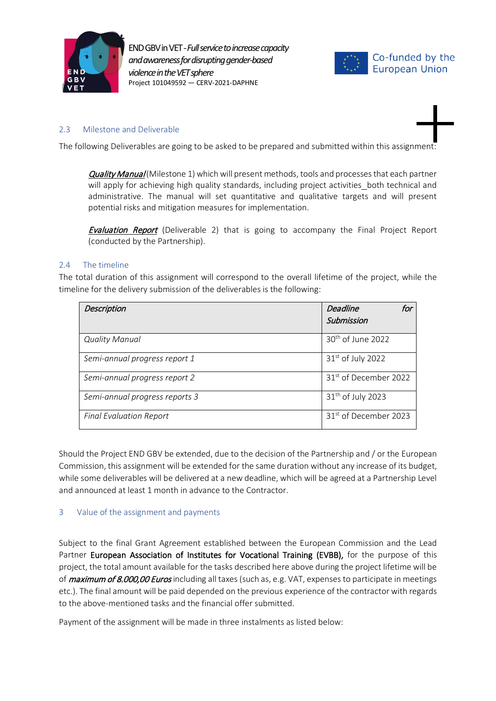



#### <span id="page-5-0"></span>2.3 Milestone and Deliverable

The following Deliverables are going to be asked to be prepared and submitted within this assignment:

Quality Manual (Milestone 1) which will present methods, tools and processes that each partner will apply for achieving high quality standards, including project activities\_both technical and administrative. The manual will set quantitative and qualitative targets and will present potential risks and mitigation measures for implementation.

**Evaluation Report** (Deliverable 2) that is going to accompany the Final Project Report (conducted by the Partnership).

#### <span id="page-5-1"></span>2.4 The timeline

The total duration of this assignment will correspond to the overall lifetime of the project, while the timeline for the delivery submission of the deliverables is the following:

| <b>Description</b>             | <b>Deadline</b><br>for<br>Submission |
|--------------------------------|--------------------------------------|
| <b>Quality Manual</b>          | 30 <sup>th</sup> of June 2022        |
| Semi-annual progress report 1  | $31st$ of July 2022                  |
| Semi-annual progress report 2  | 31 <sup>st</sup> of December 2022    |
| Semi-annual progress reports 3 | $31th$ of July 2023                  |
| <b>Final Evaluation Report</b> | 31 <sup>st</sup> of December 2023    |

Should the Project END GBV be extended, due to the decision of the Partnership and / or the European Commission, this assignment will be extended for the same duration without any increase of its budget, while some deliverables will be delivered at a new deadline, which will be agreed at a Partnership Level and announced at least 1 month in advance to the Contractor.

#### <span id="page-5-2"></span>3 Value of the assignment and payments

Subject to the final Grant Agreement established between the European Commission and the Lead Partner European Association of Institutes for Vocational Training (EVBB), for the purpose of this project, the total amount available for the tasks described here above during the project lifetime will be of *maximum of 8.000,00 Euros* including all taxes (such as, e.g. VAT, expenses to participate in meetings etc.). The final amount will be paid depended on the previous experience of the contractor with regards to the above-mentioned tasks and the financial offer submitted.

Payment of the assignment will be made in three instalments as listed below: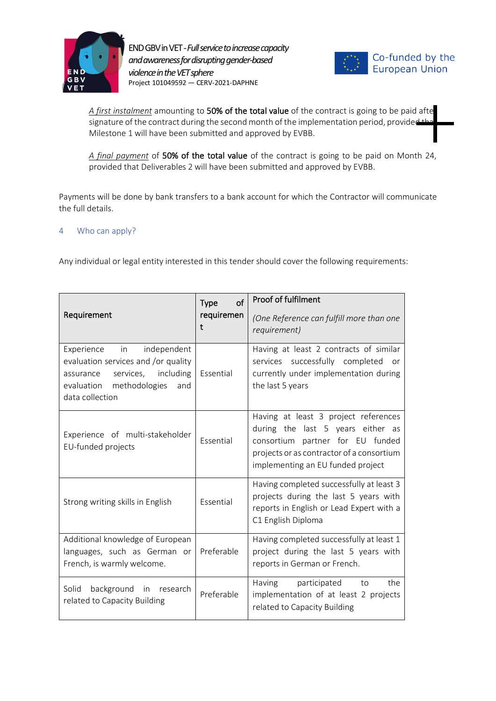



A first instalment amounting to 50% of the total value of the contract is going to be paid afte signature of the contract during the second month of the implementation period, provided Milestone 1 will have been submitted and approved by EVBB.

*A final payment* of 50% of the total value of the contract is going to be paid on Month 24, provided that Deliverables 2 will have been submitted and approved by EVBB.

Payments will be done by bank transfers to a bank account for which the Contractor will communicate the full details.

#### <span id="page-6-0"></span>4 Who can apply?

Any individual or legal entity interested in this tender should cover the following requirements:

| Requirement                                                                                                                                                | of<br>Type<br>requiremen<br>t | Proof of fulfilment<br>(One Reference can fulfill more than one<br>requirement)                                                                                                                 |
|------------------------------------------------------------------------------------------------------------------------------------------------------------|-------------------------------|-------------------------------------------------------------------------------------------------------------------------------------------------------------------------------------------------|
| Experience in independent<br>evaluation services and /or quality<br>services, including<br>assurance<br>evaluation methodologies<br>and<br>data collection | Essential                     | Having at least 2 contracts of similar<br>services successfully completed or<br>currently under implementation during<br>the last 5 years                                                       |
| Experience of multi-stakeholder<br>EU-funded projects                                                                                                      | Essential                     | Having at least 3 project references<br>during the last 5 years either as<br>consortium partner for EU funded<br>projects or as contractor of a consortium<br>implementing an EU funded project |
| Strong writing skills in English                                                                                                                           | Essential                     | Having completed successfully at least 3<br>projects during the last 5 years with<br>reports in English or Lead Expert with a<br>C1 English Diploma                                             |
| Additional knowledge of European<br>languages, such as German or<br>French, is warmly welcome.                                                             | Preferable                    | Having completed successfully at least 1<br>project during the last 5 years with<br>reports in German or French.                                                                                |
| Solid<br>background in research<br>related to Capacity Building                                                                                            | Preferable                    | the<br>Having<br>participated to<br>implementation of at least 2 projects<br>related to Capacity Building                                                                                       |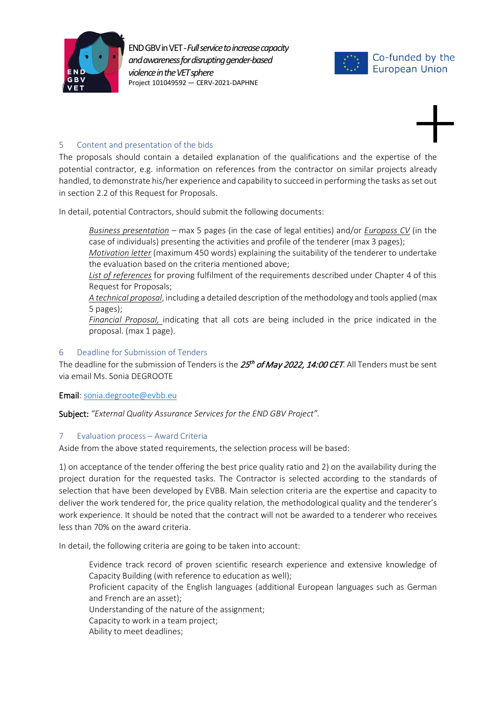



#### <span id="page-7-0"></span>5 Content and presentation of the bids

The proposals should contain a detailed explanation of the qualifications and the expertise of the potential contractor, e.g. information on references from the contractor on similar projects already handled, to demonstrate his/her experience and capability to succeed in performing the tasks as set out in section [2.2](#page-4-0) of this Request for Proposals.

In detail, potential Contractors, should submit the following documents:

*Business presentation* – max 5 pages (in the case of legal entities) and/or *Europass CV* (in the case of individuals) presenting the activities and profile of the tenderer (max 3 pages);

*Motivation letter* (maximum 450 words) explaining the suitability of the tenderer to undertake the evaluation based on the criteria mentioned above;

*List of references* for proving fulfilment of the requirements described under Chapter [4](#page-6-0) of this Request for Proposals;

*A technical proposal*, including a detailed description of the methodology and tools applied (max 5 pages);

*Financial Proposal,* indicating that all cots are being included in the price indicated in the proposal. (max 1 page).

#### <span id="page-7-1"></span>6 Deadline for Submission of Tenders

The deadline for the submission of Tenders is the  $25<sup>th</sup>$  of May 2022, 14:00 CET. All Tenders must be sent via email Ms. Sonia DEGROOTE

#### Email[: sonia.degroote@evbb.eu](mailto:sonia.degroote@evbb.eu)

Subject: *"External Quality Assurance Services for the END GBV Project".*

#### <span id="page-7-2"></span>7 Evaluation process – Award Criteria

Aside from the above stated requirements, the selection process will be based:

1) on acceptance of the tender offering the best price quality ratio and 2) on the availability during the project duration for the requested tasks. The Contractor is selected according to the standards of selection that have been developed by EVBB. Main selection criteria are the expertise and capacity to deliver the work tendered for, the price quality relation, the methodological quality and the tenderer's work experience. It should be noted that the contract will not be awarded to a tenderer who receives less than 70% on the award criteria.

In detail, the following criteria are going to be taken into account:

Evidence track record of proven scientific research experience and extensive knowledge of Capacity Building (with reference to education as well); Proficient capacity of the English languages (additional European languages such as German and French are an asset); Understanding of the nature of the assignment; Capacity to work in a team project;

Ability to meet deadlines;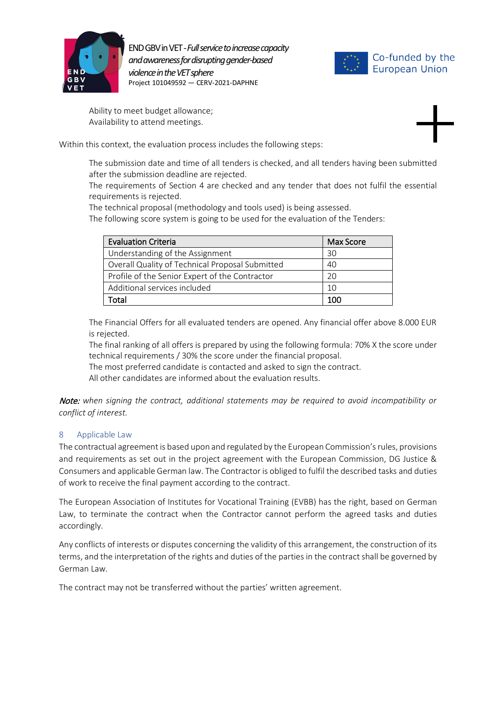



Ability to meet budget allowance; Availability to attend meetings.

Within this context, the evaluation process includes the following steps:

The submission date and time of all tenders is checked, and all tenders having been submitted after the submission deadline are rejected.

The requirements of Section [4](#page-6-0) are checked and any tender that does not fulfil the essential requirements is rejected.

The technical proposal (methodology and tools used) is being assessed.

The following score system is going to be used for the evaluation of the Tenders:

| <b>Evaluation Criteria</b>                      | <b>Max Score</b> |
|-------------------------------------------------|------------------|
| Understanding of the Assignment                 | 30               |
| Overall Quality of Technical Proposal Submitted | 40               |
| Profile of the Senior Expert of the Contractor  | 2Ο               |
| Additional services included                    | 10               |
| Total                                           | 100              |

The Financial Offers for all evaluated tenders are opened. Any financial offer above 8.000 EUR is rejected.

The final ranking of all offers is prepared by using the following formula: 70% X the score under technical requirements / 30% the score under the financial proposal.

The most preferred candidate is contacted and asked to sign the contract.

All other candidates are informed about the evaluation results.

Note: *when signing the contract, additional statements may be required to avoid incompatibility or conflict of interest.*

#### <span id="page-8-0"></span>8 Applicable Law

The contractual agreement is based upon and regulated by the European Commission's rules, provisions and requirements as set out in the project agreement with the European Commission, DG Justice & Consumers and applicable German law. The Contractor is obliged to fulfil the described tasks and duties of work to receive the final payment according to the contract.

The European Association of Institutes for Vocational Training (EVBB) has the right, based on German Law, to terminate the contract when the Contractor cannot perform the agreed tasks and duties accordingly.

Any conflicts of interests or disputes concerning the validity of this arrangement, the construction of its terms, and the interpretation of the rights and duties of the parties in the contract shall be governed by German Law.

The contract may not be transferred without the parties' written agreement.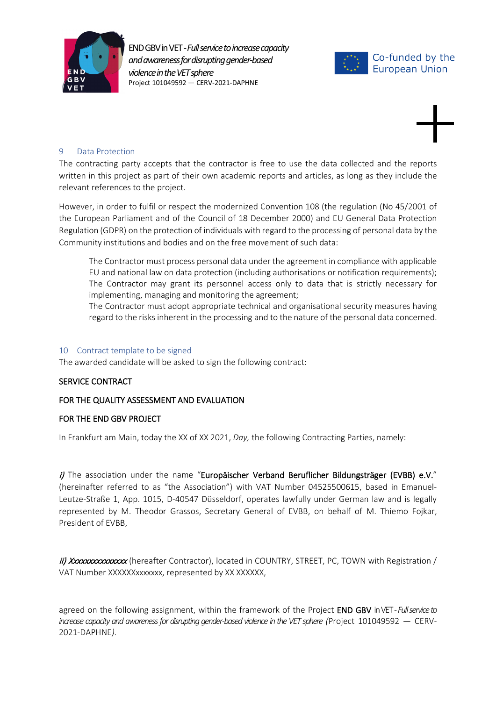





#### <span id="page-9-0"></span>9 Data Protection

The contracting party accepts that the contractor is free to use the data collected and the reports written in this project as part of their own academic reports and articles, as long as they include the relevant references to the project.

However, in order to fulfil or respect the modernized Convention 108 (the regulation (No 45/2001 of the European Parliament and of the Council of 18 December 2000) and EU General Data Protection Regulation (GDPR) on the protection of individuals with regard to the processing of personal data by the Community institutions and bodies and on the free movement of such data:

The Contractor must process personal data under the agreement in compliance with applicable EU and national law on data protection (including authorisations or notification requirements); The Contractor may grant its personnel access only to data that is strictly necessary for implementing, managing and monitoring the agreement;

The Contractor must adopt appropriate technical and organisational security measures having regard to the risks inherent in the processing and to the nature of the personal data concerned.

#### <span id="page-9-1"></span>10 Contract template to be signed

The awarded candidate will be asked to sign the following contract:

#### SERVICE CONTRACT

#### FOR THE QUALITY ASSESSMENT AND EVALUATION

#### FOR THE END GBV PROJECT

In Frankfurt am Main, today the XX of XX 2021, *Day,* the following Contracting Parties, namely:

 $i$ ) The association under the name "Europäischer Verband Beruflicher Bildungsträger (EVBB) e.V." (hereinafter referred to as "the Association") with VAT Number 04525500615, based in Emanuel-Leutze-Straße 1, App. 1015, D-40547 Düsseldorf, operates lawfully under German law and is legally represented by M. Theodor Grassos, Secretary General of EVBB, on behalf of M. Thiemo Fojkar, President of EVBB,

ii) Xxxxxxxxxxxxxxx (hereafter Contractor), located in COUNTRY, STREET, PC, TOWN with Registration / VAT Number XXXXXXxxxxxxx, represented by XX XXXXXX,

agreed on the following assignment, within the framework of the Project END GBV in VET*-Full service to increase capacity and awareness for disrupting gender-based violence in the VET sphere (*Project 101049592 — CERV-2021-DAPHNE*).*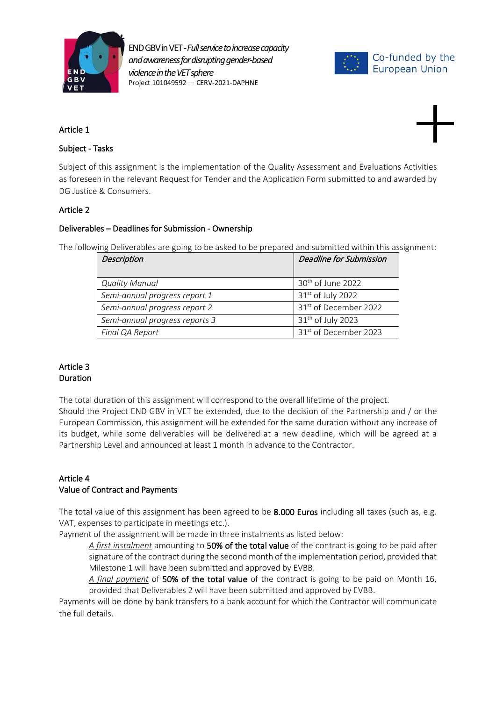



#### Article 1

#### Subject - Tasks

Subject of this assignment is the implementation of the Quality Assessment and Evaluations Activities as foreseen in the relevant Request for Tender and the Application Form submitted to and awarded by DG Justice & Consumers.

#### Article 2

#### Deliverables – Deadlines for Submission - Ownership

The following Deliverables are going to be asked to be prepared and submitted within this assignment:

| <b>Description</b>             | <b>Deadline for Submission</b>    |
|--------------------------------|-----------------------------------|
| <b>Quality Manual</b>          | 30 <sup>th</sup> of June 2022     |
| Semi-annual progress report 1  | 31 <sup>st</sup> of July 2022     |
| Semi-annual progress report 2  | 31 <sup>st</sup> of December 2022 |
| Semi-annual progress reports 3 | 31 <sup>th</sup> of July 2023     |
| Final QA Report                | 31 <sup>st</sup> of December 2023 |

#### Article 3 Duration

The total duration of this assignment will correspond to the overall lifetime of the project. Should the Project END GBV in VET be extended, due to the decision of the Partnership and / or the European Commission, this assignment will be extended for the same duration without any increase of its budget, while some deliverables will be delivered at a new deadline, which will be agreed at a Partnership Level and announced at least 1 month in advance to the Contractor.

#### Article 4 Value of Contract and Payments

The total value of this assignment has been agreed to be 8.000 Euros including all taxes (such as, e.g. VAT, expenses to participate in meetings etc.).

Payment of the assignment will be made in three instalments as listed below:

*A first instalment* amounting to 50% of the total value of the contract is going to be paid after signature of the contract during the second month of the implementation period, provided that Milestone 1 will have been submitted and approved by EVBB.

*A final payment* of 50% of the total value of the contract is going to be paid on Month 16, provided that Deliverables 2 will have been submitted and approved by EVBB.

Payments will be done by bank transfers to a bank account for which the Contractor will communicate the full details.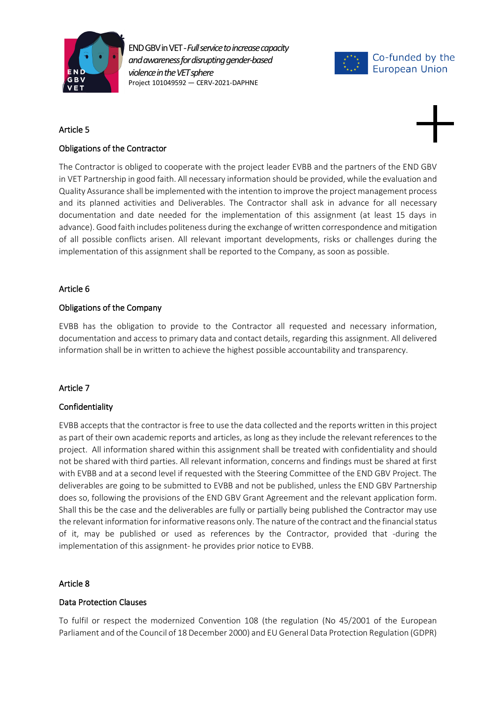



#### Article 5



The Contractor is obliged to cooperate with the project leader EVBB and the partners of the END GBV in VET Partnership in good faith. All necessary information should be provided, while the evaluation and Quality Assurance shall be implemented with the intention to improve the project management process and its planned activities and Deliverables. The Contractor shall ask in advance for all necessary documentation and date needed for the implementation of this assignment (at least 15 days in advance). Good faith includes politeness during the exchange of written correspondence and mitigation of all possible conflicts arisen. All relevant important developments, risks or challenges during the implementation of this assignment shall be reported to the Company, as soon as possible.

#### Article 6

#### Obligations of the Company

EVBB has the obligation to provide to the Contractor all requested and necessary information, documentation and access to primary data and contact details, regarding this assignment. All delivered information shall be in written to achieve the highest possible accountability and transparency.

#### Article 7

#### Confidentiality

EVBB accepts that the contractor is free to use the data collected and the reports written in this project as part of their own academic reports and articles, as long as they include the relevant references to the project. All information shared within this assignment shall be treated with confidentiality and should not be shared with third parties. All relevant information, concerns and findings must be shared at first with EVBB and at a second level if requested with the Steering Committee of the END GBV Project. The deliverables are going to be submitted to EVBB and not be published, unless the END GBV Partnership does so, following the provisions of the END GBV Grant Agreement and the relevant application form. Shall this be the case and the deliverables are fully or partially being published the Contractor may use the relevant information for informative reasons only. The nature of the contract and the financial status of it, may be published or used as references by the Contractor, provided that -during the implementation of this assignment- he provides prior notice to EVBB.

#### Article 8

#### Data Protection Clauses

To fulfil or respect the modernized Convention 108 (the regulation (No 45/2001 of the European Parliament and of the Council of 18 December 2000) and EU General Data Protection Regulation (GDPR)